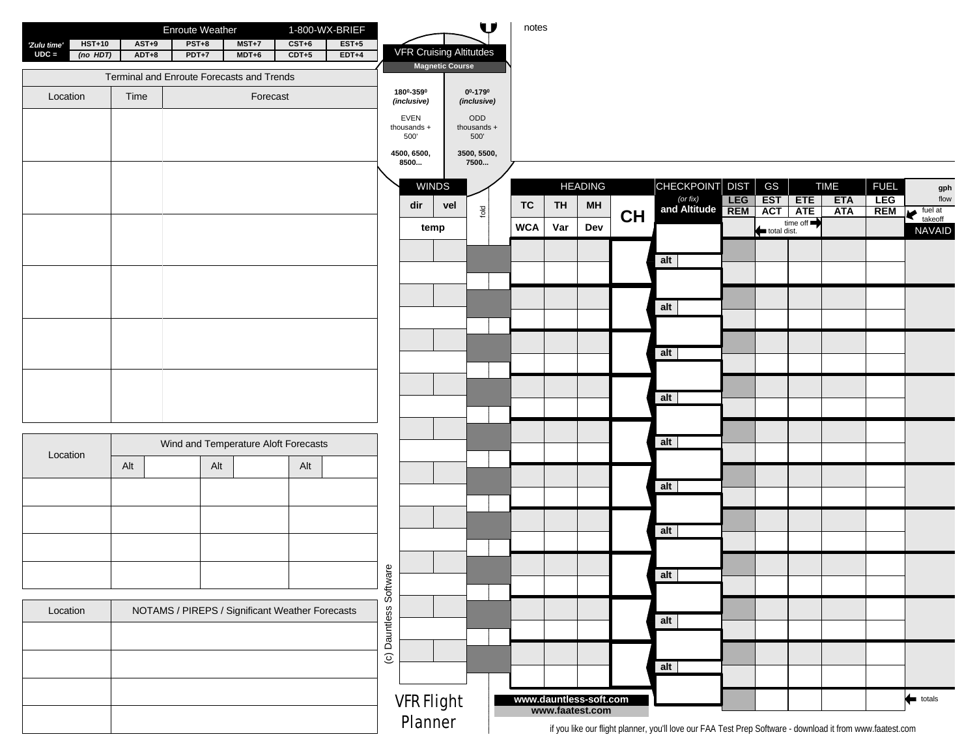